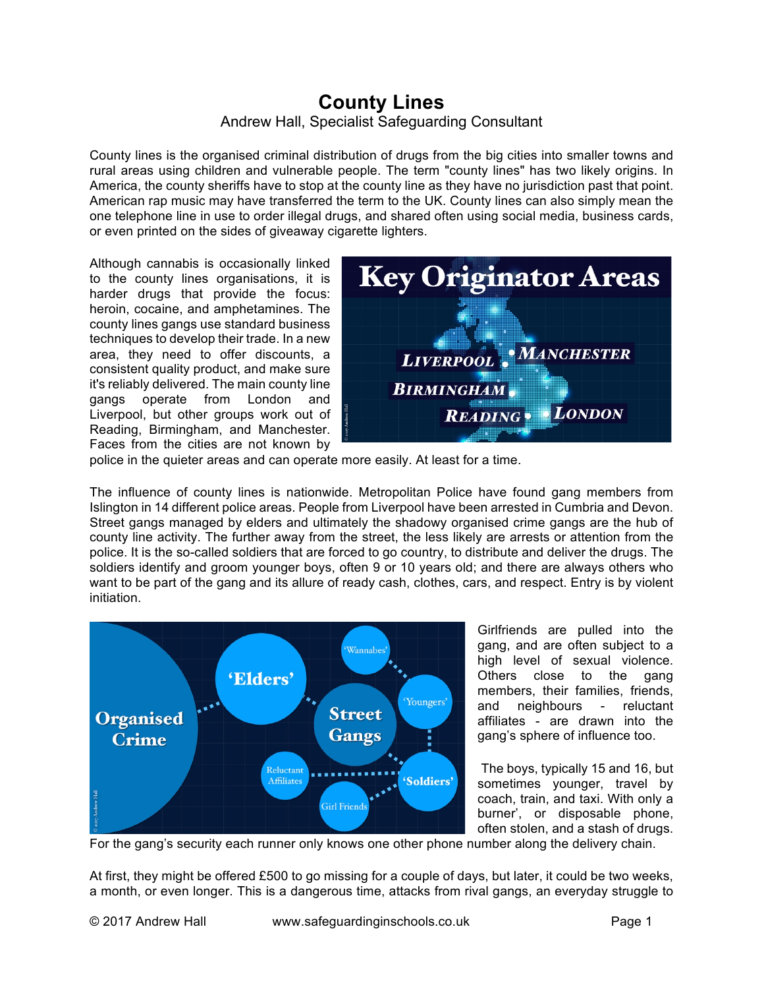## **County Lines** Andrew Hall, Specialist Safeguarding Consultant

County lines is the organised criminal distribution of drugs from the big cities into smaller towns and rural areas using children and vulnerable people. The term "county lines" has two likely origins. In America, the county sheriffs have to stop at the county line as they have no jurisdiction past that point. American rap music may have transferred the term to the UK. County lines can also simply mean the one telephone line in use to order illegal drugs, and shared often using social media, business cards, or even printed on the sides of giveaway cigarette lighters.

Although cannabis is occasionally linked to the county lines organisations, it is harder drugs that provide the focus: heroin, cocaine, and amphetamines. The county lines gangs use standard business techniques to develop their trade. In a new area, they need to offer discounts, a consistent quality product, and make sure it's reliably delivered. The main county line gangs operate from London and Liverpool, but other groups work out of Reading, Birmingham, and Manchester. Faces from the cities are not known by



police in the quieter areas and can operate more easily. At least for a time.

The influence of county lines is nationwide. Metropolitan Police have found gang members from Islington in 14 different police areas. People from Liverpool have been arrested in Cumbria and Devon. Street gangs managed by elders and ultimately the shadowy organised crime gangs are the hub of county line activity. The further away from the street, the less likely are arrests or attention from the police. It is the so-called soldiers that are forced to go country, to distribute and deliver the drugs. The soldiers identify and groom younger boys, often 9 or 10 years old; and there are always others who want to be part of the gang and its allure of ready cash, clothes, cars, and respect. Entry is by violent initiation.



Girlfriends are pulled into the gang, and are often subject to a high level of sexual violence. Others close to the gang members, their families, friends, and neighbours - reluctant affiliates - are drawn into the gang's sphere of influence too.

The boys, typically 15 and 16, but sometimes younger, travel by coach, train, and taxi. With only a burner', or disposable phone, often stolen, and a stash of drugs.

For the gang's security each runner only knows one other phone number along the delivery chain.

At first, they might be offered £500 to go missing for a couple of days, but later, it could be two weeks, a month, or even longer. This is a dangerous time, attacks from rival gangs, an everyday struggle to